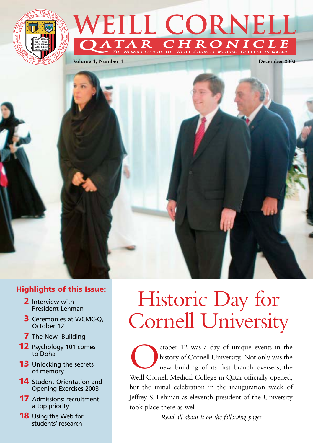

## VEILL CORNELL  $\|R\|$ RONICLE CORNELL MEDICAL COLLEGE IN QATAR

**Volume 1, Number 4 December 2003**

## **Highlights of this Issue:**

- **2** Interview with President Lehman
- **3** Ceremonies at WCMC-Q, October 12
- **7** The New Building
- **12** Psychology 101 comes to Doha
- **13** Unlocking the secrets of memory
- **14** Student Orientation and Opening Exercises 2003
- **17** Admissions: recruitment a top priority
- **18** Using the Web for students' research

# Historic Day for Cornell University

Cocher 12 was a day of unique events in the history of Cornell University. Not only was the new building of its first branch overseas, the Weill Cornell Medical College in Ostar officially opened history of Cornell University. Not only was the new building of its first branch overseas, the Weill Cornell Medical College in Qatar officially opened, but the initial celebration in the inauguration week of Jeffrey S. Lehman as eleventh president of the University took place there as well.

*Read all about it on the following pages* 

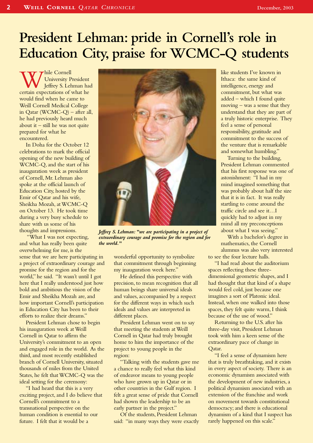# **President Lehman: pride in Cornell's role in Education City, praise for WCMC-Q students**

**W** University President<br>
certain expectations of what he University President Jeffrey S. Lehman had would find when he came to Weill Cornell Medical College in Qatar (WCMC-Q) – after all, he had previously heard much about it  $-$  still he was not quite prepared for what he encountered.

In Doha for the October 12 celebrations to mark the official opening of the new building of WCMC-Q, and the start of his inauguration week as president of Cornell, Mr. Lehman also spoke at the official launch of Education City, hosted by the Emir of Qatar and his wife, Sheikha Mozah, at WCMC-Q on October 13. He took time during a very busy schedule to share with us some of his thoughts and impressions.

"What I was not expecting, and what has really been quite overwhelming for me, is the sense that we are here participating in a project of extraordinary courage and promise for the region and for the world," he said. "It wasn't until I got here that I really understood just how bold and ambitious the vision of the Emir and Sheikha Mozah are, and how important Cornell's participation in Education City has been to their efforts to realize their dreams."

President Lehman chose to begin his inauguration week at Weill Cornell in Qatar to affirm the University's commitment to an open and engaged role in the world. As the third, and most recently established branch of Cornell University, situated thousands of miles from the United States, he felt that WCMC-Q was the ideal setting for the ceremony:

"I had heard that this is a very exciting project, and I do believe that Cornell's commitment to a transnational perspective on the human condition is essential to our future. I felt that it would be a



*Jeffrey S. Lehman: "we are participating in a project of extraordinary courage and promise for the region and for the world."*

wonderful opportunity to symbolize that commitment through beginning my inauguration week here."

He defined this perspective with precision, to mean recognition that all human beings share universal ideals and values, accompanied by a respect for the different ways in which such ideals and values are interpreted in different places.

President Lehman went on to say that meeting the students at Weill Cornell in Qatar had truly brought home to him the importance of the project to young people in the region:

"Talking with the students gave me a chance to really feel what this kind of endeavor means to young people who have grown up in Qatar or in other countries in the Gulf region. I felt a great sense of pride that Cornell had shown the leadership to be an early partner in the project."

Of the students, President Lehman said: "in many ways they were exactly like students I've known in Ithaca: the same kind of intelligence, energy and commitment, but what was added – which I found quite moving – was a sense that they understand that they are part of a truly historic enterprise. They feel a sense of personal responsibility, gratitude and commitment to the success of the venture that is remarkable and somewhat humbling."

Turning to the building, President Lehman commented that his first response was one of astonishment: "I had in my mind imagined something that was probably about half the size that it is in fact. It was really startling to come around the traffic circle and see it…I quickly had to adjust in my mind all my preconceptions about what I was seeing."

With a bachelor's degree in mathematics, the Cornell alumnus was also very interested to see the four lecture halls.

"I had read about the auditorium spaces reflecting these threedimensional geometric shapes, and I had thought that that kind of a shape would feel cold, just because one imagines a sort of Platonic ideal. Instead, when one walked into those spaces, they felt quite warm, I think because of the use of wood."

Returning to the U.S. after his three-day visit, President Lehman took with him a keen sense of the extraordinary pace of change in Qatar.

"I feel a sense of dynamism here that is truly breathtaking, and it exists in every aspect of society. There is an economic dynamism associated with the development of new industries, a political dynamism associated with an extension of the franchise and work on movement towards constitutional democracy; and there is educational dynamism of a kind that I suspect has rarely happened on this scale."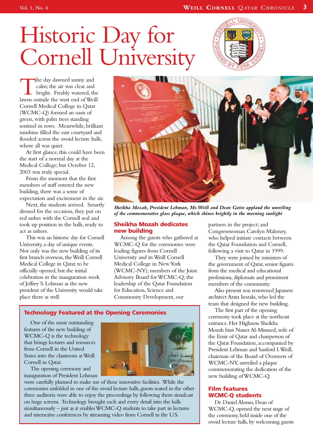# Historic Day for Cornell University



The day dawned sunny and<br>
calm; the air was clear and<br>
bright. Freshly watered, the<br>
lawns outside the west end of Weill calm; the air was clear and bright. Freshly watered, the Cornell Medical College in Qatar (WCMC-Q) formed an oasis of green, with palm trees standing sentinel in rows. Meanwhile, brilliant sunshine filled the east courtyard and flooded across the ovoid lecture halls, where all was quiet.

At first glance, this could have been the start of a normal day at the Medical College; but October 12, 2003 was truly special.

From the moment that the first members of staff entered the new building, there was a sense of expectation and excitement in the air.

Next, the students arrived. Smartly dressed for the occasion, they put on red sashes with the Cornell seal and took up position in the halls, ready to act as ushers.

This was an historic day for Cornell University, a day of unique events. Not only was the new building of its first branch overseas, the Weill Cornell Medical College in Qatar, to be officially opened, but the initial celebration in the inauguration week of Jeffrey S. Lehman as the new president of the University would take place there as well.



*Sheikha Mozah, President Lehman, Mr.Weill and Dean Gotto applaud the unveiling of the commemorative glass plaque, which shines brightly in the morning sunlight*

#### **Sheikha Mozah dedicates new building**

Among the guests who gathered at WCMC-Q for the ceremonies were leading figures from Cornell University and its Weill Cornell Medical College in New York (WCMC-NY); members of the Joint Advisory Board for WCMC-Q; the leadership of the Qatar Foundation for Education, Science and Community Development, our

## **Technology Featured at the Opening Ceremonies**

One of the most outstanding features of the new building of WCMC-Q is the technology that brings lectures and resources from Cornell in the United States into the classroom at Weill Cornell in Qatar.

The opening ceremony and inauguration of President Lehman



were carefully planned to make use of these innovative facilities. While the ceremonies unfolded in one of the ovoid lecture halls, guests seated in the other three auditoria were able to enjoy the proceedings by following them simulcast on huge screens. Technology brought each and every detail into the halls simultaneously – just as it enables WCMC-Q students to take part in lectures and interactive conferences by streaming video from Cornell in the U.S.

partners in the project; and Congresswoman Carolyn Maloney, who helped initiate contacts between the Qatar Foundation and Cornell, following a visit to Qatar in 1999.

They were joined by ministers of the government of Qatar, senior figures from the medical and educational professions, diplomats and prominent members of the community.

Also present was renowned Japanese architect Arata Isozaki, who led the team that designed the new building.

The first part of the opening ceremony took place at the northeast entrance. Her Highness Sheikha Mozah bint Nasser Al-Missned, wife of the Emir of Qatar and chairperson of the Qatar Foundation, accompanied by President Lehman and Sanford I.Weill, chairman of the Board of Overseers of WCMC-NY, unveiled a plaque commemorating the dedication of the new building of WCMC-Q.

## **Film features WCMC-Q students**

Dr. Daniel Alonso, Dean of WCMC-Q, opened the next stage of the ceremony, held inside one of the ovoid lecture halls, by welcoming guests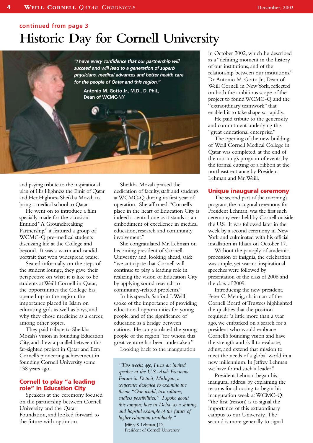## **continued from page 3**

# **Historic Day for Cornell University**

*"I have every confidence that our partnership will succeed and will lead to a generation of superb physicians, medical advances and better health care for the people of Qatar and this region."* **Antonio M. Gotto Jr., M.D., D. Phil., Dean of WCMC-N***Y*

and paying tribute to the inspirational plan of His Highness the Emir of Qatar and Her Highness Sheikha Mozah to bring a medical school to Qatar.

He went on to introduce a film specially made for the occasion. Entitled "A Groundbreaking Partnership," it featured a group of WCMC-Q pre-medical students discussing life at the College and beyond. It was a warm and candid portrait that won widespread praise.

Seated informally on the steps of the student lounge, they gave their perspective on what it is like to be students at Weill Cornell in Qatar, the opportunities the College has opened up in the region, the importance placed in Islam on educating girls as well as boys, and why they chose medicine as a career, among other topics.

They paid tribute to Sheikha Mozah's vision in founding Education City, and drew a parallel between this far-sighted project in Qatar and Ezra Cornell's pioneering achievement in founding Cornell University some 138 years ago.

#### **Cornell to play "a leading role" in Education City**

Speakers at the ceremony focused on the partnership between Cornell University and the Qatar Foundation, and looked forward to the future with optimism.

Sheikha Mozah praised the dedication of faculty, staff and students at WCMC-Q during its first year of operation. She affirmed:"Cornell's place in the heart of Education City is indeed a central one as it stands as an embodiment of excellence in medical education, research and community involvement."

She congratulated Mr. Lehman on becoming president of Cornell University and, looking ahead, said: "we anticipate that Cornell will continue to play a leading role in realizing the vision of Education City by applying sound research to community-related problems."

In his speech, Sanford I.Weill spoke of the importance of providing educational opportunities for young people, and of the significance of education as a bridge between nations. He congratulated the young people of the region "for whom this great venture has been undertaken."

Looking back to the inauguration

*"Two weeks ago, I was an invited speaker at the U.S.-Arab Economic Forum in Detroit, Michigan, a conference designed to examine the theme "One world, two cultures, endless possibilities." I spoke about this campus, here in Doha, as a shining and hopeful example of the future of higher education worldwide."*

Jeffrey S. Lehman, J.D., President of Cornell University in October 2002, which he described as a "defining moment in the history of our institutions, and of the relationship between our institutions," Dr.Antonio M. Gotto Jr., Dean of Weill Cornell in New York, reflected on both the ambitious scope of the project to found WCMC-Q and the "extraordinary teamwork" that enabled it to take shape so rapidly.

He paid tribute to the generosity and commitment underlying this "great educational enterprise."

The opening of the new building of Weill Cornell Medical College in Qatar was completed, at the end of the morning's program of events, by the formal cutting of a ribbon at the northeast entrance by President Lehman and Mr.Weill.

#### **Unique inaugural ceremony**

The second part of the morning's program, the inaugural ceremony for President Lehman, was the first such ceremony ever held by Cornell outside the U.S. It was followed later in the week by a second ceremony in New York and culminated with his official installation in Ithaca on October 17.

Without the panoply of academic procession or insignia, the celebration was simple, yet warm: inspirational speeches were followed by presentation of the class of 2008 and the class of 2009.

Introducing the new president, Peter C. Meinig, chairman of the Cornell Board of Trustees highlighted the qualities that the position required:"a little more than a year ago, we embarked on a search for a president who would embrace Cornell's founding vision and have the strength and skill to evaluate, adjust, and extend that mission to meet the needs of a global world in a new millennium. In Jeffrey Lehman we have found such a leader."

President Lehman began his inaugural address by explaining the reasons for choosing to begin his inauguration week at WCMC-Q: "the first (reason) is to signal the importance of this extraordinary campus to our University. The second is more generally to signal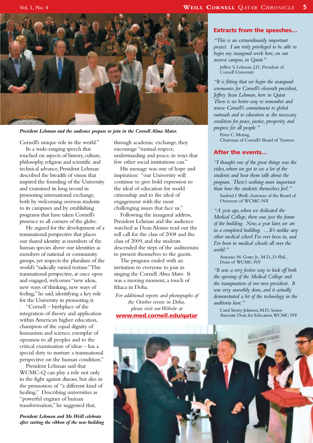

*President Lehman and the audience prepare to join in the Cornell Alma Mater.*

Cornell's unique role in the world." In a wide-ranging speech that touched on aspects of history, culture, philosophy, religion and scientific and technical advance, President Lehman described the breadth of vision that inspired the founding of the University and examined its long record in promoting international exchange, both by welcoming overseas students to its campuses and by establishing programs that have taken Cornell's presence to all corners of the globe.

He argued for the development of a transnational perspective that places our shared identity as members of the human species above our identities as members of national or community groups, yet respects the pluralism of the world's "radically varied texture."This transnational perspective, at once open and engaged, welcomes "new ideas, new ways of thinking, new ways of feeling," he said, identifying a key role for the University in promoting it:

"Cornell – birthplace of the integration of theory and application within American higher education, champion of the equal dignity of humanism and science, exemplar of openness to all peoples and to the critical examination of ideas – has a special duty to nurture a transnational perspective on the human condition."

President Lehman said that WCMC-Q can play a role not only in the fight against disease, but also in the promotion of "a different kind of healing." Describing universities as "powerful engines of human transformation," he suggested that,

*President Lehman and Mr.Weill celebrate after cutting the ribbon of the new building* through academic exchange, they encourage "mutual respect, understanding and peace, in ways that few other social institutions can."

His message was one of hope and inspiration: "our University will continue to give bold expression to the ideal of education for world citizenship and to the ideal of engagement with the most challenging issues that face us."

Following the inaugural address, President Lehman and the audience watched as Dean Alonso read out the roll call for the class of 2008 and the class of 2009, and the students descended the steps of the auditorium to present themselves to the guests.

The program ended with an invitation to everyone to join in singing the Cornell *Alma Mater*. It was a moving moment, a touch of Ithaca in Doha.

*For additional reports and photographs of the October events in Doha, please visit our Website at* **www.med.cornell.edu/qatar**

#### **Extracts from the speeches…**

*"This is an extraordinarily important project. I am truly privileged to be able to begin my inaugural week here, on our newest campus, in Qatar."*

Jeffrey S. Lehman, J.D., President of Cornell University

*"It is fitting that we begin the inaugural ceremonies for Cornell's eleventh president, Jeffrey Sean Lehman, here in Qatar. There is no better way to remember and renew Cornell's commitment to global outreach and to education as the necessary condition for peace, justice, prosperity and progress for all people."*

Peter C. Meinig, Chairman of Cornell's Board of Trustees

#### **After the events…**

*"I thought one of the great things was the video, where we got to see a lot of the students and hear them talk about the program. There's nothing more important than how the students themselves feel."*

Sanford I.Weill, chairman of the Board of Overseers of WCMC-NY

*"A year ago, when we dedicated the Medical College, there was just the frame of the building. Now, a year later, we are in a completed building. …It's unlike any other medical school I've ever been in, and I've been in medical schools all over the world."*

Antonio M. Gotto Jr., M.D., D. Phil., Dean of WCMC-NY

*"It was a very festive way to kick off both the opening of the Medical College and the inauguration of our new president. It was very smoothly done, and it actually demonstrated a lot of the technology in the auditoria here."*

Carol Storey-Johnson, M.D., Senior Associate Dean for Education,WCMC-NY

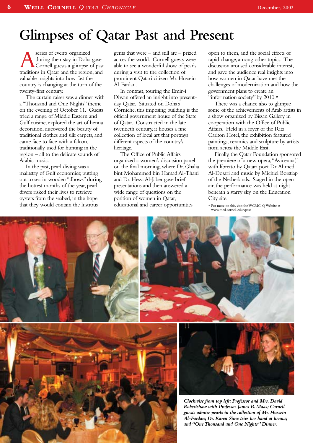## **Glimpses of Qatar Past and Present**

**Aseries of events organized<br>during their stay in Doha gave<br>traditions in Qatar and the region, and** during their stay in Doha gave Cornell guests a glimpse of past valuable insights into how fast the country is changing at the turn of the twenty-first century.

The curtain raiser was a dinner with a "Thousand and One Nights" theme on the evening of October 11. Guests tried a range of Middle Eastern and Gulf cuisine, explored the art of henna decoration, discovered the beauty of traditional clothes and silk carpets, and came face to face with a falcon, traditionally used for hunting in the region – all to the delicate sounds of Arabic music.

In the past, pearl diving was a mainstay of Gulf economies; putting out to sea in wooden "dhows" during the hottest months of the year, pearl divers risked their lives to retrieve oysters from the seabed, in the hope that they would contain the lustrous

gems that were – and still are – prized across the world. Cornell guests were able to see a wonderful show of pearls during a visit to the collection of prominent Qatari citizen Mr. Hussein Al-Fardan.

In contrast, touring the Emir-i Diwan offered an insight into presentday Qatar. Situated on Doha's Corniche, this imposing building is the official government house of the State of Qatar. Constructed in the late twentieth century, it houses a fine collection of local art that portrays different aspects of the country's heritage.

The Office of Public Affairs organized a women's discussion panel on the final morning, where Dr. Ghalia bint Mohammed bin Hamad Al-Thani and Dr. Hessa Al-Jaber gave brief presentations and then answered a wide range of questions on the position of women in Qatar, educational and career opportunities

open to them, and the social effects of rapid change, among other topics. The discussion aroused considerable interest, and gave the audience real insights into how women in Qatar have met the challenges of modernization and how the government plans to create an "information society" by 2010.\*

There was a chance also to glimpse some of the achievements of Arab artists in a show organized by Bissan Gallery in cooperation with the Office of Public Affairs. Held in a foyer of the Ritz Carlton Hotel, the exhibition featured paintings, ceramics and sculpture by artists from across the Middle East.

Finally, the Qatar Foundation sponsored the premiere of a new opera,"Avicenna," with libretto by Qatari poet Dr.Ahmed Al-Dosari and music by Michiel Borstlap of the Netherlands. Staged in the open air, the performance was held at night beneath a starry sky on the Education City site.

\* For more on this, visit the WCMC-Q Website at www.med.cornell.edu/qatar









*Clockwise from top left: Professor and Mrs. David Robertshaw with Professor James B. Maas; Cornell guests admire pearls in the collection of Mr. Hussein Al-Fardan; Dr. Karen Sime tries her hand at henna; and "One Thousand and One Nights" Dinner.*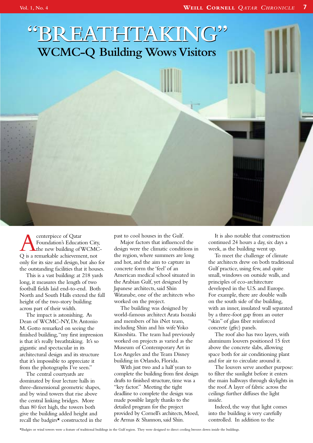# **"BREATHTAKING" "BREATHTAKING" WCMC-Q Building Wows Visitors**

**Anche Strate**<br> **Acenterpiece of Qatar**<br> **C** is a remarkable achievement, not Foundation's Education City, the new building of WCMConly for its size and design, but also for the outstanding facilities that it houses.

This is a vast building: at 218 yards long, it measures the length of two football fields laid end-to-end. Both North and South Halls extend the full height of the two-story building across part of their width.

The impact is astonishing. As Dean of WCMC-NY, Dr.Antonio M. Gotto remarked on seeing the finished building,"my first impression is that it's really breathtaking. It's so gigantic and spectacular in its architectural design and its structure that it's impossible to appreciate it from the photographs I've seen."

The central courtyards are dominated by four lecture halls in three-dimensional geometric shapes, and by wind towers that rise above the central linking bridges. More than 80 feet high, the towers both give the building added height and recall the badgirs\* constructed in the past to cool houses in the Gulf.

Major factors that influenced the design were the climatic conditions in the region, where summers are long and hot, and the aim to capture in concrete form the 'feel' of an American medical school situated in the Arabian Gulf, yet designed by Japanese architects, said Shin Watanabe, one of the architects who worked on the project.

The building was designed by world-famous architect Arata Isozaki and members of his iNet team, including Shin and his wife Yoko Kinoshita. The team had previously worked on projects as varied as the Museum of Contemporary Art in Los Angeles and the Team Disney building in Orlando, Florida.

With just two and a half years to complete the building from first design drafts to finished structure, time was a "key factor." Meeting the tight deadline to complete the design was made possible largely thanks to the detailed program for the project provided by Cornell's architects, Moed, de Armas & Shannon, said Shin.

It is also notable that construction continued 24 hours a day, six days a week, as the building went up.

To meet the challenge of climate the architects drew on both traditional Gulf practice, using few, and quite small, windows on outside walls, and principles of eco-architecture developed in the U.S. and Europe. For example, there are double walls on the south side of the building, with an inner, insulated wall separated by a three-foot gap from an outer "skin" of glass fiber reinforced concrete (gfrc) panels.

The roof also has two layers, with aluminum louvers positioned 15 feet above the concrete slabs, allowing space both for air conditioning plant and for air to circulate around it.

The louvers serve another purpose: to filter the sunlight before it enters the main hallways through skylights in the roof.A layer of fabric across the ceilings further diffuses the light inside.

Indeed, the way that light comes into the building is very carefully controlled. In addition to the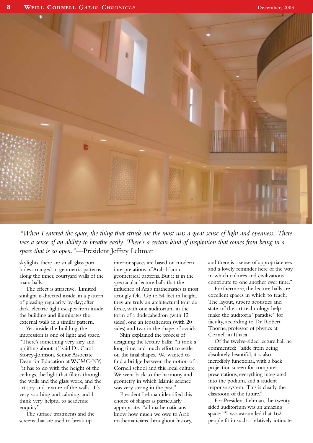

*"When I entered the space, the thing that struck me the most was a great sense of light and openness. There was a sense of an ability to breathe easily. There's a certain kind of inspiration that comes from being in a space that is so open."*—President Jeffrey Lehman

skylights, there are small glass port holes arranged in geometric patterns along the inner, courtyard walls of the main halls.

The effect is attractive. Limited sunlight is directed inside, in a pattern of pleasing regularity by day; after dark, electric light escapes from inside the building and illuminates the external walls in a similar pattern.

Yet, inside the building, the impression is one of light and space. "There's something very airy and uplifting about it," said Dr. Carol Storey-Johnson, Senior Associate Dean for Education at WCMC-NY, "it has to do with the height of the ceilings, the light that filters through the walls and the glass work, and the artistry and texture of the walls. It's very soothing and calming, and I think very helpful to academic enquiry."

The surface treatments and the screens that are used to break up

interior spaces are based on modern interpretations of Arab-Islamic geometrical patterns. But it is in the spectacular lecture halls that the influence of Arab mathematics is most strongly felt. Up to 54 feet in height, they are truly an architectural tour de force, with one auditorium in the form of a dodecahedron (with 12 sides), one an icosahedron (with 20 sides) and two in the shape of ovoids.

Shin explained the process of designing the lecture halls: "it took a long time, and much effort to settle on the final shapes. We wanted to find a bridge between the notion of a Cornell school and this local culture. We went back to the harmony and geometry in which Islamic science was very strong in the past."

President Lehman identified this choice of shapes as particularly appropriate: "all mathematicians know how much we owe to Arab mathematicians throughout history,

and there is a sense of appropriateness and a lovely reminder here of the way in which cultures and civilizations contribute to one another over time."

Furthermore, the lecture halls are excellent spaces in which to teach. The layout, superb acoustics and state-of-the-art technology help make the auditoria "paradise" for faculty, according to Dr. Robert Thorne, professor of physics at Cornell in Ithaca.

Of the twelve-sided lecture hall he commented: "aside from being absolutely beautiful, it is also incredibly functional, with a back projection screen for computer presentations, everything integrated into the podium, and a student response system. This is clearly the classroom of the future."

For President Lehman, the twentysided auditorium was an amazing space: "I was astounded that 162 people fit in such a relatively intimate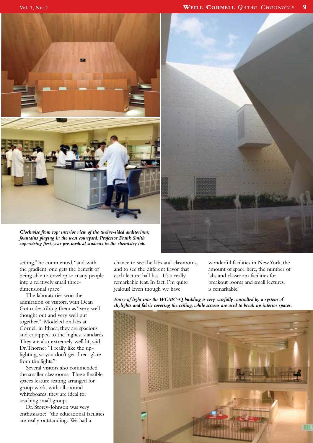

*Clockwise from top: interior view of the twelve-sided auditorium; fountains playing in the west courtyard; Professor Frank Smith supervising first-year pre-medical students in the chemistry lab.*



setting," he commented,"and with the gradient, one gets the benefit of being able to envelop so many people into a relatively small threedimensional space."

The laboratories won the admiration of visitors, with Dean Gotto describing them as "very well thought out and very well put together." Modeled on labs at Cornell in Ithaca, they are spacious and equipped to the highest standards. They are also extremely well lit, said Dr.Thorne: "I really like the uplighting, so you don't get direct glare from the lights."

Several visitors also commended the smaller classrooms. These flexible spaces feature seating arranged for group work, with all-around whiteboards; they are ideal for teaching small groups.

Dr. Storey-Johnson was very enthusiastic: "the educational facilities are really outstanding. We had a

chance to see the labs and classrooms, and to see the different flavor that each lecture hall has. It's a really remarkable feat. In fact, I'm quite jealous! Even though we have

wonderful facilities in New York, the amount of space here, the number of labs and classroom facilities for breakout rooms and small lectures, is remarkable."

*Entry of light into the WCMC-Q building is very carefully controlled by a system of skylights and fabric covering the ceiling, while screens are used to break up interior spaces.*

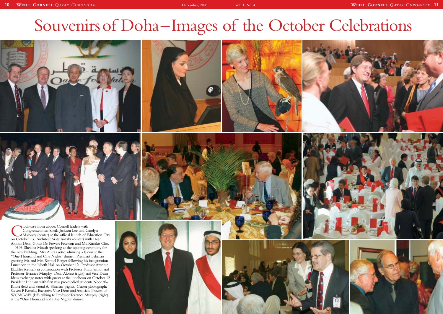# Souvenirs of Doha–Images









**COMERGIST CORNER CORRESSIVED EXECUTES**<br>Congresswomen Sheila Jackson Lee and Carolyn<br>On October 13. Architect Arata Isozaki (center) with Dean Congresswomen Sheila Jackson Lee and Carolyn Maloney (center) at the official launch of Education City Alonso, Dean Gotto, Dr. Powers Peterson and Ms. Kimiko Cho.

H.H. Sheikha Mozah speaking at the opening ceremony for the new building. Mrs.Anita Gotto admiring a falcon at the "One Thousand and One Nights" dinner. President Lehman greeting Mr. and Mrs. Samuel Berger following his inauguration. Luncheon in the North Hall on October 12. Professor Antonie Blackler (center) in conversation with Professor Frank Smith and Professor Terrance Murphy. Dean Alonso (right) and Vice Dean Idriss exchange notes with guests at the luncheon on October 12. President Lehman with first year pre-medical students Noor Al-Khori (left) and Saoud Al-Shamari (right). Center photograph: Steven P. Rosalie, Executive Vice Dean and Associate Provost of WCMC-NY (left) talking to Professor Terrance Murphy (right) at the "One Thousand and One Nights" dinner.

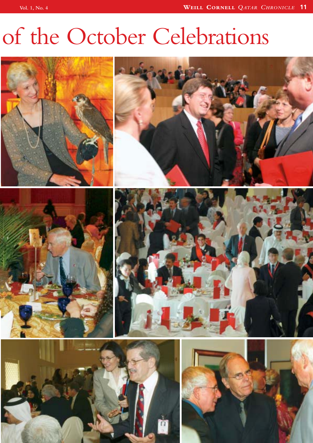# of the October Celebrations

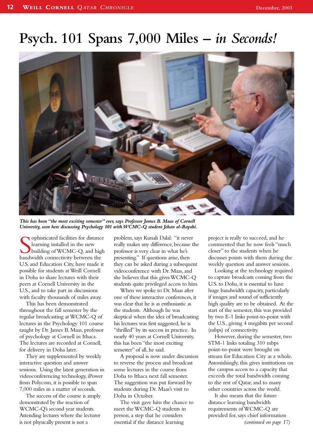## **Psych. 101 Spans 7,000 Miles –** *in Seconds!*



*This has been "the most exciting semester" ever, says Professor James B. Maas of Cornell University, seen here discussing Psychology 101 with WCMC-Q student Jehan al-Rayahi.*

**S** ophisticated facilities for distance learning installed in the new building of WCMC-Q, and highandwidth connectivity between the ophisticated facilities for distance learning installed in the new building of WCMC-Q, and high U.S.and Education City, have made it possible for students at Weill Cornell in Doha to share lectures with their peers at Cornell University in the U.S., and to take part in discussions with faculty thousands of miles away.

This has been demonstrated throughout the fall semester by the regular broadcasting at WCMC-Q of lectures in the Psychology 101 course taught by Dr. James B. Maas, professor of psychology at Cornell in Ithaca. The lectures are recorded at Cornell, for delivery in Doha later.

They are supplemented by weekly interactive question and answer sessions. Using the latest generation in videoconferencing technology, iPower from Polycom, it is possible to span 7,000 miles in a matter of seconds.

The success of the course is amply demonstrated by the reaction of WCMC-Q's second year students. Attending lectures where the lecturer is not physically present is not a

problem, says Kunali Dalal: "it never really makes any difference, because the professor is very clear in what he's presenting." If questions arise, then they can be asked during a subsequent videoconference with Dr. Maas, and she believes that this gives WCMC-Q students quite privileged access to him.

When we spoke to Dr. Maas after one of these interactive conferences, it was clear that he is as enthusiastic as the students. Although he was skeptical when the idea of broadcasting his lectures was first suggested, he is "thrilled" by its success in practice. In nearly 40 years at Cornell University, this has been "the most exciting semester" of all, he said.

A proposal is now under discussion to reverse the process and broadcast some lectures in the course from Doha to Ithaca next fall semester. The suggestion was put forward by students during Dr. Maas's visit to Doha in October.

The visit gave him the chance to meet the WCMC-Q students in person, a step that he considers essential if the distance learning

project is really to succeed, and he commented that he now feels "much closer" to the students when he discusses points with them during the weekly question and answer sessions.

Looking at the technology required to capture broadcasts coming from the U.S. to Doha, it is essential to have huge bandwidth capacity, particularly if images and sound of sufficiently high quality are to be obtained. At the start of the semester, this was provided by two E-1 links point-to-point with the U.S., giving 4 megabits per second (mbps) of connectivity.

However, during the semester, two STM-1 links totaling 310 mbps point-to-point were brought on stream for Education City as a whole. Astonishingly, this gives institutions on the campus access to a capacity that exceeds the total bandwidth coming to the rest of Qatar, and to many other countries across the world.

It also means that the future distance learning bandwidth requirements of WCMC-Q are provided for, says chief information *(continued on page 17)*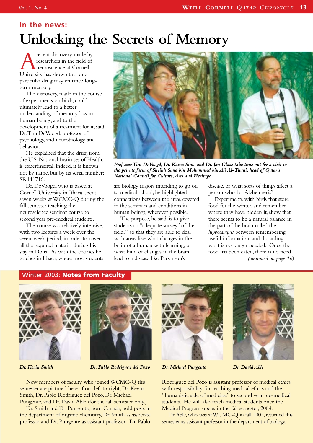## **In the news: Unlocking the Secrets of Memory**

recent discovery made by researchers in the field of neuroscience at Cornell University has shown that one particular drug may enhance longterm memory.

The discovery, made in the course of experiments on birds, could ultimately lead to a better understanding of memory loss in human beings, and to the development of a treatment for it, said Dr.Tim DeVoogd, professor of psychology, and neurobiology and behavior.

He explained that the drug, from the U.S. National Institutes of Health, is experimental; indeed, it is known not by name, but by its serial number: SR141716.

Dr. DeVoogd, who is based at Cornell University in Ithaca, spent seven weeks at WCMC-Q during the fall semester teaching the neuroscience seminar course to second year pre-medical students.

The course was relatively intensive, with two lectures a week over the seven-week period, in order to cover all the required material during his stay in Doha. As with the courses he teaches in Ithaca, where most students



*Professor Tim DeVoogd, Dr. Karen Sime and Dr. Jon Glase take time out for a visit to the private farm of Sheikh Saud bin Mohammed bin Ali Al-Thani, head of Qatar's National Council for Culture,Arts and Heritage*

are biology majors intending to go on to medical school, he highlighted connections between the areas covered in the seminars and conditions in human beings, wherever possible.

The purpose, he said, is to give students an "adequate survey" of the field," so that they are able to deal with areas like what changes in the brain of a human with learning; or what kind of changes in the brain lead to a disease like Parkinson's

disease, or what sorts of things affect a person who has Alzheimer's."

Experiments with birds that store food for the winter, and remember where they have hidden it, show that there seems to be a natural balance in the part of the brain called the *hippocampus* between remembering useful information, and discarding what is no longer needed. Once the food has been eaten, there is no need *(continued on page 16)*

## Winter 2003: **Notes from Faculty**





*Dr. Kevin Smith Dr. Michael Pungente Dr. David Able Dr. Pablo Rodriguez del Pozo*

New members of faculty who joined WCMC-Q this semester are pictured here: from left to right, Dr. Kevin Smith, Dr. Pablo Rodriguez del Pozo, Dr. Michael Pungente, and Dr. David Able (for the fall semester only.)

Dr. Smith and Dr. Pungente, from Canada, hold posts in the department of organic chemistry, Dr. Smith as associate professor and Dr. Pungente as assistant professor. Dr. Pablo





Rodriguez del Pozo is assistant professor of medical ethics with responsibility for teaching medical ethics and the "humanistic side of medicine" to second year pre-medical students. He will also teach medical students once the Medical Program opens in the fall semester, 2004.

Dr. Able, who was at WCMC-Q in fall 2002, returned this semester as assistant professor in the department of biology.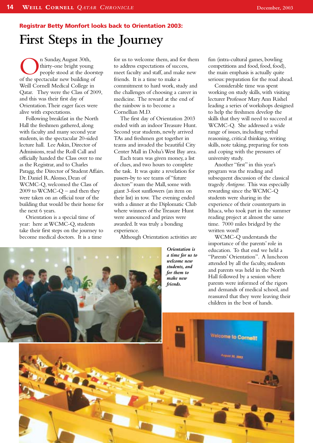## **First Steps in the Journey Registrar Betty Monfort looks back to Orientation 2003:**

On Sunday, August 30th,<br>
people stood at the doors<br>
of the spectacular new building of thirty-one bright young people stood at the doorstep Weill Cornell Medical College in Qatar. They were the Class of 2009, and this was their first day of Orientation.Their eager faces were alive with expectations.

Following breakfast in the North Hall the freshmen gathered, along with faculty and many second year students, in the spectacular 20-sided lecture hall. Lee Askin, Director of Admissions, read the Roll Call and officially handed the Class over to me as the Registrar, and to Charles Paragg, the Director of Student Affairs. Dr. Daniel R.Alonso, Dean of WCMC-Q, welcomed the Class of 2009 to WCMC-Q – and then they were taken on an official tour of the building that would be their home for the next 6 years.

Orientation is a special time of year: here at WCMC-Q, students take their first steps on the journey to become medical doctors. It is a time

for us to welcome them, and for them to address expectations of success, meet faculty and staff, and make new friends. It is a time to make a commitment to hard work, study and the challenges of choosing a career in medicine. The reward at the end of the rainbow is to become a Cornellian M.D.

The first day of Orientation 2003 ended with an indoor Treasure Hunt. Second year students, newly arrived TAs and freshmen got together in teams and invaded the beautiful City Center Mall in Doha's West Bay area.

Each team was given money, a list of clues, and two hours to complete the task. It was quite a revelation for passers-by to see teams of "future doctors" roam the Mall, some with giant 3-foot sunflowers (an item on their list) in tow. The evening ended with a dinner at the Diplomatic Club where winners of the Treasure Hunt were announced and prizes were awarded. It was truly a bonding experience.

Although Orientation activities are

*Orientation is a time for us to* fun (intra-cultural games, bowling competitions and food, food, food), the main emphasis is actually quite serious: preparation for the road ahead.

Considerable time was spent working on study skills, with visiting lecturer Professor Mary Ann Rishel leading a series of workshops designed to help the freshmen develop the skills that they will need to succeed at WCMC-Q. She addressed a wide range of issues, including verbal reasoning, critical thinking, writing skills, note taking, preparing for tests and coping with the pressures of university study.

Another "first" in this year's program was the reading and subsequent discussion of the classical tragedy *Antigone*. This was especially rewarding since the WCMC-Q students were sharing in the experience of their counterparts in Ithaca, who took part in the summer reading project at almost the same time. 7000 miles bridged by the written word!

WCMC-Q understands the importance of the parents' role in education. To that end we held a "Parents' Orientation". A luncheon attended by all the faculty, students and parents was held in the North Hall followed by a session where parents were informed of the rigors and demands of medical school, and reassured that they were leaving their

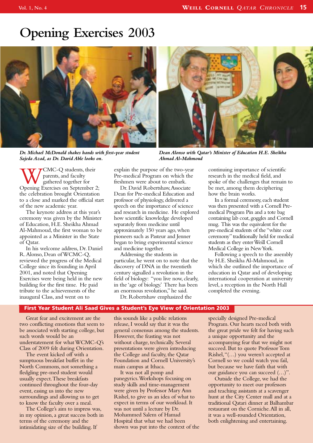## **Opening Exercises 2003**



*Dr. Michael McDonald shakes hands with first-year student Sajeda Azad, as Dr. David Able looks on.*



*Dean Alonso with Qatar's Minister of Education H.E. Sheikha Ahmad Al-Mahmoud*

WCMC-Q students, their<br>
garents, and faculty<br>
Opening Exercises on September 2; parents, and faculty gathered together for the celebration brought Orientation to a close and marked the official start of the new academic year.

The keynote address at this year's ceremony was given by the Minister of Education, H.E. Sheikha Ahmad Al-Mahmoud, the first woman to be appointed as a Minister in the State of Qatar.

In his welcome address, Dr. Daniel R.Alonso, Dean of WCMC-Q, reviewed the progress of the Medical College since its founding in April 2001, and noted that Opening Exercises were being held in the new building for the first time. He paid tribute to the achievements of the inaugural Class, and went on to

explain the purpose of the two-year Pre-medical Program on which the freshmen were about to embark.

Dr. David Robertshaw,Associate Dean for Pre-medical Education and professor of physiology, delivered a speech on the importance of science and research in medicine. He explored how scientific knowledge developed separately from medicine until approximately 150 years ago, when pioneers such as Pasteur and Jenner began to bring experimental science and medicine together.

Addressing the students in particular, he went on to note that the discovery of DNA in the twentieth century signalled a revolution in the field of biology: "you live now, clearly, in the 'age of biology.' There has been an enormous revolution," he said. Dr. Robertshaw emphasized the

continuing importance of scientific research in the medical field, and spoke of the challenges that remain to be met, among them deciphering how the brain works.

In a formal ceremony, each student was then presented with a Cornell Premedical Program Pin and a tote bag containing lab coat, goggles and Cornell mug. This was the equivalent for the pre-medical students of the "white coat ceremony"traditionally held for medical students as they enter Weill Cornell Medical College in New York.

Following a speech to the assembly by H.E. Sheikha Al-Mahmoud, in which she outlined the importance of education in Qatar and of developing international cooperation at university level, a reception in the North Hall completed the evening.

#### **First Year Student Ali Saad Gives a Student's Eye View of Orientation 2003**

Great fear and excitement are the two conflicting emotions that seem to be associated with starting college, but such words would be an understatement for what WCMC-Q's Class of 2009 felt during Orientation.

The event kicked off with a sumptuous breakfast buffet in the North Commons, not something a fledgling pre-med student would usually expect.These breakfasts continued throughout the four-day event, easing us into the new surroundings and allowing us to get to know the faculty over a meal.

The College's aim to impress was, in my opinion, a great success both in terms of the ceremony and the intimidating size of the building. If

this sounds like a public relations release, I would say that it was the general consensus among the students. However, the feasting was not without charge, technically. Several presentations were given introducing the College and faculty, the Qatar Foundation and Cornell University's main campus at Ithaca.

It was not all pomp and panegyrics.Workshops focusing on study skills and time-management were given by Professor Mary Ann Rishel, to give us an idea of what to expect in terms of our workload. It was not until a lecture by Dr. Mohammed Salem of Hamad Hospital that what we had been shown was put into the context of the specially designed Pre-medical Program. Our hearts raced both with the great pride we felt for having such a unique opportunity and the accompanying fear that we might not succeed. But to quote Professor Tom Rishel,"(…) you weren't accepted at Cornell so we could watch you fail, but because we have faith that with our guidance you can succeed (…)".

Outside the College, we had the opportunity to meet our professors and teaching assistants at a scavenger hunt at the City Center mall and at a traditional Qatari dinner at Balhambar restaurant on the Corniche.All in all, it was a well-rounded Orientation, both enlightening and entertaining.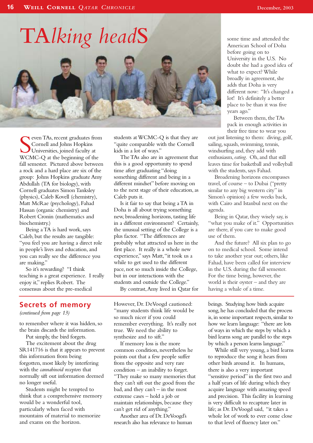

Seven TAs, recent graduates from Cornell and Johns Hopkins<br>Universities, joined faculty at WCMC-Q at the beginning of the even TAs, recent graduates from Cornell and Johns Hopkins Universities, joined faculty at fall semester. Pictured above between a rock and a hard place are six of the group: Johns Hopkins graduate Amy Abdullah (TA for biology), with Cornell graduates Simon Tanksley (physics), Caleb Kovell (chemistry), Matt McRae (psychology), Fahad Hassan (organic chemistry) and Robert Cronin (mathematics and biochemistry.)

Being a TA is hard work, says Caleb, but the results are tangible: "you feel you are having a direct role in people's lives and education, and you can really see the difference you are making."

So it's rewarding? "I think teaching is a great experience. I really enjoy it," replies Robert. The consensus about the pre-medical

## **Secrets of memory**

*(continued from page 13)*

to remember where it was hidden, so the brain discards the information.

Put simply, the bird forgets.

The excitement about the drug SR141716 is that it appears to prevent this information from being forgotten, most likely by interfering with the *cannabinoid receptors* that normally sift out information deemed no longer useful.

Students might be tempted to think that a comprehensive memory would be a wonderful tool, particularly when faced with mountains of material to memorize and exams on the horizon.

students at WCMC-Q is that they are "quite comparable with the Cornell kids in a lot of ways."

The TAs also are in agreement that this is a good opportunity to spend time after graduating "doing something different and being in a different mindset" before moving on to the next stage of their education, as Caleb puts it.

Is it fair to say that being a TA in Doha is all about trying something new, broadening horizons, tasting life in a different environment? Certainly, the unusual setting of the College is a plus factor. "The differences are probably what attracted us here in the first place. It really is a whole new experience," says Matt,"it took us a while to get used to the different pace, not so much inside the College, but in our interactions with the students and outside the College."

By contrast,Amy lived in Qatar for

However, Dr. DeVoogd cautioned: "many students think life would be so much nicer if you could remember everything. It's really not true. We need the ability to synthesize and to sift."

If memory loss is the more common condition, nevertheless he points out that a few people suffer from the opposite and very rare condition – an inability to forget. "They make so many memories that they can't sift out the good from the bad, and they  $can't$  – in the most extreme cases – hold a job or maintain relationships, because they can't get rid of anything."

Another area of Dr. DeVoogd's research also has relevance to human some time and attended the American School of Doha before going on to University in the U.S. No doubt she had a good idea of what to expect? While broadly in agreement, she adds that Doha is very different now: "It's changed a lot! It's definitely a better place to be than it was five years ago."

Between them, the TAs pack in enough activities in their free time to wear you

out just listening to them: diving, golf, sailing, squash, swimming, tennis, windsurfing and, they add with enthusiasm,*eating*. Oh, and that still leaves time for basketball and volleyball with the students, says Fahad.

Broadening horizons encompasses travel, of course – to Dubai ("pretty similar to any big western city" in Simon's opinion) a few weeks back, with Cairo and Istanbul next on the agenda.

Being in Qatar, they wisely say, is "what you make of it." Opportunities are there, if you care to make good use of them.

And the future? All six plan to go on to medical school. Some intend to take another year out; others, like Fahad, have been called for interview in the U.S. during the fall semester. For the time being, however, the world is their oyster – and they are having a whale of a time.

beings. Studying how birds acquire song, he has concluded that the process is, in some important respects, similar to how we learn language: "there are lots of ways in which the steps by which a bird learns song are parallel to the steps by which a person learns language."

While still very young, a bird learns to reproduce the song it hears from other birds around it. In humans, there is also a very important "sensitive period" in the first two and a half years of life during which they acquire language with amazing speed and precision. This facility in learning is very difficult to recapture later in life; as Dr. DeVoogd said, "it takes a whole lot of work to ever come close to that level of fluency later on."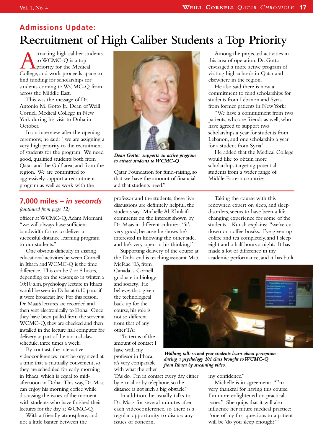## **Admissions Update: Recruitment of High Caliber Students a Top Priority**

Attracting high caliber students<br>to WCMC-Q is a top<br>College, and work proceeds apace to to WCMC-Q is a top **L** priority for the Medical find funding for scholarships for students coming to WCMC-Q from across the Middle East.

This was the message of Dr. Antonio M. Gotto Jr., Dean of Weill Cornell Medical College in New York during his visit to Doha in October.

In an interview after the opening ceremony, he said: "we are assigning a very high priority to the recruitment of students for the program. We need good, qualified students both from Qatar and the Gulf area, and from the region. We are committed to aggressively support a recruitment program as well as work with the

## **7,000 miles** *– in seconds*

*(continued from page 12)*

officer at WCMC-Q,Adam Momani: "we will always have sufficient bandwidth for us to deliver a successful distance learning program to our students."

One obvious difficulty in sharing educational activities between Cornell in Ithaca and WCMC-Q is the time difference. This can be 7 or 8 hours, depending on the season; so in winter, a 10:10 a.m.psychology lecture in Ithaca would be seen in Doha at 6:10 p.m., if it were broadcast live.For this reason, Dr.Maas's lectures are recorded and then sent electronically to Doha. Once they have been pulled from the server at WCMC-Q, they are checked and then installed in the lecture hall computer for delivery as part of the normal class schedule, three times a week.

By contrast, the interactive videoconferences must be organized at a time that is mutually convenient, so they are scheduled for early morning in Ithaca, which is equal to midafternoon in Doha. This way, Dr. Maas can enjoy his morning coffee while discussing the issues of the moment with students who have finished their lectures for the day at WCMC-Q.

With a friendly atmosphere, and not a little banter between the



*Dean Gotto: supports an active program to attract students to WCMC-Q*

Qatar Foundation for fund-raising, so that we have the amount of financial aid that students need."

professor and the students, these live discussions are definitely helpful, the students say. Michelle Al-Khulaifi comments on the interest shown by Dr. Maas in different cultures: "it's very good, because he shows he's interested in knowing the other side, and he's very open in his thinking."

Supporting delivery of the course at the Doha end is teaching assistant Matt

McRae '03, from Canada, a Cornell graduate in biology and society. He believes that, given the technological back up for the course, his role is not so different from that of any other TA:

"In terms of the amount of contact I have with my professor in Ithaca, it's very comparable with what the other

TAs do. I'm in contact every day either by e-mail or by telephone, so the distance is not such a big obstacle."

In addition, he usually talks to Dr. Maas for several minutes after each videoconference, so there is a regular opportunity to discuss any issues of concern.

Among the projected activities in this area of operation, Dr. Gotto envisaged a more active program of visiting high schools in Qatar and elsewhere in the region.

He also said there is now a commitment to fund scholarships for students from Lebanon and Syria from former patients in New York:

"We have a commitment from two patients, who are friends as well, who have agreed to support two scholarships a year for students from Lebanon, and one scholarship a year for a student from Syria."

He added that the Medical College would like to obtain more scholarships targeting potential students from a wider range of Middle Eastern countries.

Taking the course with this renowned expert on sleep, and sleep disorders, seems to have been a lifechanging experience for some of the students. Kunali explains: "we've cut down on coffee breaks. I've given up coffee and tea completely, and I sleep eight and a half hours a night. It has made a lot of difference in my academic performance, and it has built



*Walking tall: second year students learn about perception during a psychology 101 class brought to WCMC-Q from Ithaca by streaming video.*

my confidence."

Michelle is in agreement: "I'm very thankful for having this course. I'm more enlightened on practical issues." She quips that it will also influence her future medical practice: "one of my first questions to a patient will be 'do you sleep enough?'"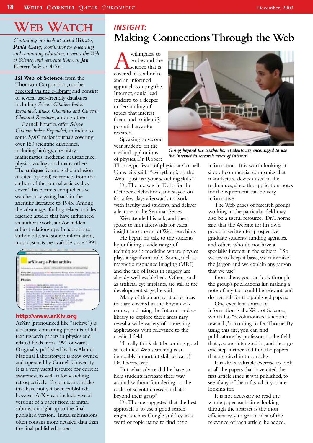## **WEB WATCH**

*Continuing our look at useful Websites, Paula Craig, coordinator for e-learning and continuing education, reviews the Web of Science, and reference librarian Jan Weaver looks at ArXiv:*

**ISI Web of Science**, from the Thomson Corporation, can be accessed via the e-library and consists of several user-friendly databases including *Science Citation Index Expanded, Index Chemicus and Current Chemical Reactions*, among others.

Cornell libraries offer *Science Citation Index Expanded*, an index to some 5,900 major journals covering over 150 scientific disciplines, including biology, chemistry, mathematics, medicine, neuroscience, physics, zoology and many others. The **unique** feature is the inclusion of cited (quoted) references from the authors of the journal articles they cover.This permits comprehensive searches, navigating back in the scientific literature to 1945. Among the advantages: finding related articles, research articles that have influenced an author's work, and/or hidden subject relationships. In addition to author, title, and source information, most abstracts are available since 1991.



## **http://www.arXiv.org**

ArXiv (pronounced like "archive") is a database containing preprints of full text research papers in physics and related fields from 1991 onwards. Originally published by Los Alamos National Laboratory, it is now owned and operated by Cornell University. It is a very useful resource for current awareness, as well as for searching retrospectively. Preprints are articles that have not yet been published; however ArXiv can include several versions of a paper from its initial submission right up to the final published version. Initial submissions often contain more detailed data than the final published papers.

## *INSIGHT:* **Making ConnectionsThrough theWeb**

**A** willingness to<br>go beyond the<br>covered in textbooks, go beyond the science that is and an informed approach to using the Internet, could lead students to a deeper understanding of topics that interest them, and to identify potential areas for research.

Speaking to second year students on the medical applications of physics, Dr. Robert

Thorne, professor of physics at Cornell University said: "everything's on the Web – just use your searching skills."

Dr.Thorne was in Doha for the October celebrations, and stayed on for a few days afterwards to work with faculty and students, and deliver a lecture in the Seminar Series.

We attended his talk, and then spoke to him afterwards for extra insight into the art of Web-searching.

He began his talk to the students by outlining a wide range of techniques in medicine where physics plays a significant role. Some, such as magnetic resonance imaging (MRI) and the use of lasers in surgery, are already well established. Others, such as artificial eye implants, are still at the development stage, he said.

Many of them are related to areas that are covered in the Physics 207 course, and using the Internet and elibrary to explore these areas may reveal a wide variety of interesting applications with relevance to the medical field.

"I really think that becoming good at technical Web searching is an incredibly important skill to learn," Dr.Thorne said.

But what advice did he have to help students navigate their way around without foundering on the rocks of scientific research that is beyond their grasp?

Dr.Thorne suggested that the best approach is to use a good search engine such as Google and key in a word or topic name to find basic



*Going beyond the textbooks: students are encouraged to use the Internet to research areas of interest.*

information. It is worth looking at sites of commercial companies that manufacture devices used in the techniques, since the application notes for the equipment can be very informative.

The Web pages of research groups working in the particular field may also be a useful resource. Dr.Thorne said that the Website for his own group is written for prospective graduate students, funding agencies, and others who do not have a specialist interest in the subject. "So we try to keep it basic, we minimize the jargon and we explain any jargon that we use"

From there, you can look through the group's publications list, making a note of any that could be relevant, and do a search for the published papers.

One excellent source of information is the Web of Science, which has "revolutionized scientific research," according to Dr.Thorne. By using this site, you can find publications by professors in the field that you are interested in, and then go one step further and find the papers that are cited in the articles.

It is also a valuable exercise to look at all the papers that have cited the first article since it was published, to see if any of them fits what you are looking for.

It is not necessary to read the whole paper each time: looking through the abstract is the most efficient way to get an idea of the relevance of each article, he added.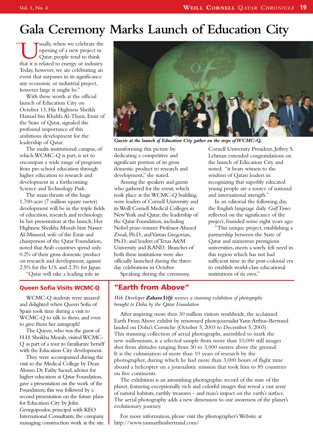# **Gala Ceremony Marks Launch of Education City**

Usually, when we celebrate the opening of a new project in Qatar, people tend to think that it is related to energy or industry. opening of a new project in Qatar, people tend to think Today, however, we are celebrating an event that surpasses in its significance any economic or industrial project, however large it might be." "

With these words at the official launch of Education City on October 13, His Highness Sheikh Hamad bin Khalifa Al-Thani, Emir of the State of Qatar, signaled the profound importance of this ambitious development for the leadership of Qatar.

The multi-institutional campus, of which WCMC-Q is part, is set to encompass a wide range of programs from pre-school education through higher education to research and development in a forthcoming Science and Technology Park.

The main thrusts of the huge 1,700-acre (7 million square meter) development will be in the triple fields of education, research and technology. In her presentation at the launch, Her Highness Sheikha Mozah bint Nasser Al-Missned, wife of the Emir and chairperson of the Qatar Foundation, noted that Arab countries spend only 0.2% of their gross domestic product on research and development, against 2.5% for the U.S. and 2.3% for Japan.

"Qatar will take a leading role in

## **Queen Sofia Visits WCMC-Q**

WCMC-Q students were amazed and delighted when Queen Sofia of Spain took time during a visit to WCMC-Q to talk to them, and even to give them her autograph!

The Queen, who was the guest of H.H. Sheikha Mozah, visited WCMC-Q as part of a tour to familiarize herself with the Education City development.

They were accompanied during the visit to the Medical College by Dean Alonso. Dr. Fathy Saoud, adviser for higher education at Qatar Foundation, gave a presentation on the work of the Foundation; this was followed by a second presentation on the future plans for Education City by John Georgopoulos, principal with KEO International Consultants, the company managing construction work at the site.



*Guests at the launch of Education City gather on the steps of WCMC-Q.*

transforming this picture by dedicating a competitive and significant portion of its gross domestic product to research and development," she stated.

Among the speakers and guests who gathered for the event, which took place at the WCMC-Q building, were leaders of Cornell University and its Weill Cornell Medical Colleges in New York and Qatar; the leadership of the Qatar Foundation, including Nobel prize-winner Professor Ahmed Zwail, Ph.D., and Vartan Gregorian, Ph.D.; and leaders of Texas A&M University and RAND. Branches of both these institutions were also officially launched during the threeday celebrations in October.

Speaking during the ceremony,

## **"Earth from Above"**

Lehman extended congratulations on the launch of Education City and noted: "it bears witness to the wisdom of Qatari leaders in recognizing that superbly educated young people are a source of national and international strength." In an editorial the following day,

Cornell University President, Jeffrey S.

the English language daily *Gulf Times* reflected on the significance of the project, founded some eight years ago:

"This unique project, establishing a partnership between the State of Qatar and numerous prestigious universities, meets a sorely felt need in this region which has not had sufficient time in the post-colonial era to establish world-class educational institutions of its own."

*Web Developer Zahara Velji reviews a stunning exhibition of photographs brought to Doha by the Qatar Foundation*

After inspiring more then 30 million visitors worldwide, the acclaimed Earth From Above exhibit by renowned photojournalist Yann Arthus-Bertrand landed on Doha's Corniche (October 5, 2003 to December 5, 2003). This stunning collection of aerial photographs, assembled to mark the new millennium, is a selected sample from more than 10,000 still images shot from altitudes ranging from 30 to 3,000 metres above the ground. It is the culmination of more than 10 years of research by the photographer, during which he had more than 3,000 hours of flight time aboard a helicopter on a journalistic mission that took him to 85 countries on five continents.

The exhibition is an astonishing photographic record of the state of the planet, featuring exceptionally rich and colorful images that reveal a vast array of natural habitats, earthly treasures - and man's impact on the earth's surface. The aerial photography adds a new dimension to our awareness of the planet's evolutionary journey.

For more information, please visit the photographer's Website at http://www.yannarthusbertrand.com/